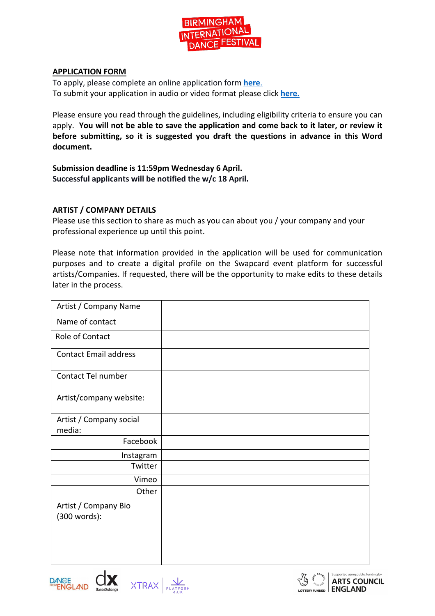

#### **APPLICATION FORM**

To apply, please complete an online application form **here**. To submit your application in audio or video format please click **here.**

Please ensure you read through the guidelines, including eligibility criteria to ensure you can apply. **You will not be able to save the application and come back to it later, or review it before submitting, so it is suggested you draft the questions in advance in this Word document.**

**Submission deadline is 11:59pm Wednesday 6 April. Successful applicants will be notified the w/c 18 April.**

#### **ARTIST / COMPANY DETAILS**

Please use this section to share as much as you can about you / your company and your professional experience up until this point.

Please note that information provided in the application will be used for communication purposes and to create a digital profile on the Swapcard event platform for successful artists/Companies. If requested, there will be the opportunity to make edits to these details later in the process.

| Artist / Company Name                |  |
|--------------------------------------|--|
| Name of contact                      |  |
| Role of Contact                      |  |
| <b>Contact Email address</b>         |  |
| Contact Tel number                   |  |
| Artist/company website:              |  |
| Artist / Company social<br>media:    |  |
| Facebook                             |  |
| Instagram                            |  |
| Twitter                              |  |
| Vimeo                                |  |
| Other                                |  |
| Artist / Company Bio<br>(300 words): |  |



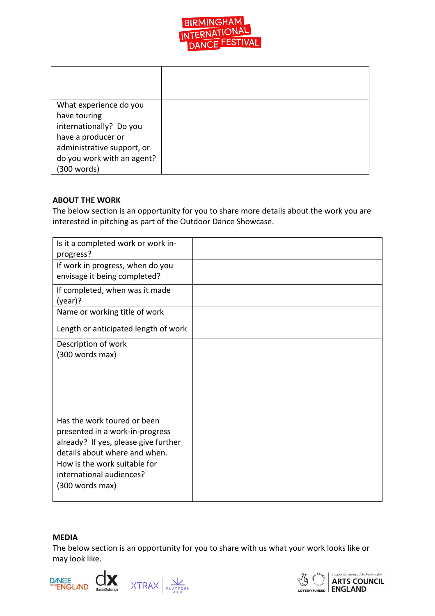

| What experience do you     |  |
|----------------------------|--|
| have touring               |  |
| internationally? Do you    |  |
| have a producer or         |  |
| administrative support, or |  |
| do you work with an agent? |  |
| (300 words)                |  |

### **ABOUT THE WORK**

The below section is an opportunity for you to share more details about the work you are interested in pitching as part of the Outdoor Dance Showcase.

| Is it a completed work or work in-<br>progress?                                                                                         |  |
|-----------------------------------------------------------------------------------------------------------------------------------------|--|
| If work in progress, when do you<br>envisage it being completed?                                                                        |  |
| If completed, when was it made<br>$(year)$ ?                                                                                            |  |
| Name or working title of work                                                                                                           |  |
| Length or anticipated length of work                                                                                                    |  |
| Description of work<br>(300 words max)                                                                                                  |  |
| Has the work toured or been<br>presented in a work-in-progress<br>already? If yes, please give further<br>details about where and when. |  |
| How is the work suitable for<br>international audiences?<br>(300 words max)                                                             |  |

#### **MEDIA**

The below section is an opportunity for you to share with us what your work looks like or may look like.



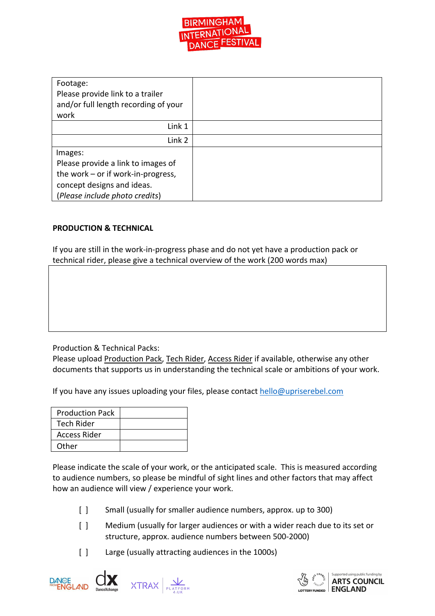

| Footage:                             |  |
|--------------------------------------|--|
| Please provide link to a trailer     |  |
| and/or full length recording of your |  |
| work                                 |  |
| Link 1                               |  |
| Link 2                               |  |
| Images:                              |  |
| Please provide a link to images of   |  |
| the work – or if work-in-progress,   |  |
| concept designs and ideas.           |  |
| (Please include photo credits)       |  |

# **PRODUCTION & TECHNICAL**

If you are still in the work-in-progress phase and do not yet have a production pack or technical rider, please give a technical overview of the work (200 words max)

Production & Technical Packs:

Please upload Production Pack, Tech Rider, Access Rider if available, otherwise any other documents that supports us in understanding the technical scale or ambitions of your work.

If you have any issues uploading your files, please contact hello@upriserebel.com

| <b>Production Pack</b> |  |
|------------------------|--|
| <b>Tech Rider</b>      |  |
| Access Rider           |  |
| Other                  |  |

Please indicate the scale of your work, or the anticipated scale. This is measured according to audience numbers, so please be mindful of sight lines and other factors that may affect how an audience will view / experience your work.

- [ ] Small (usually for smaller audience numbers, approx. up to 300)
- [] Medium (usually for larger audiences or with a wider reach due to its set or structure, approx. audience numbers between 500-2000)
- [ ] Large (usually attracting audiences in the 1000s)



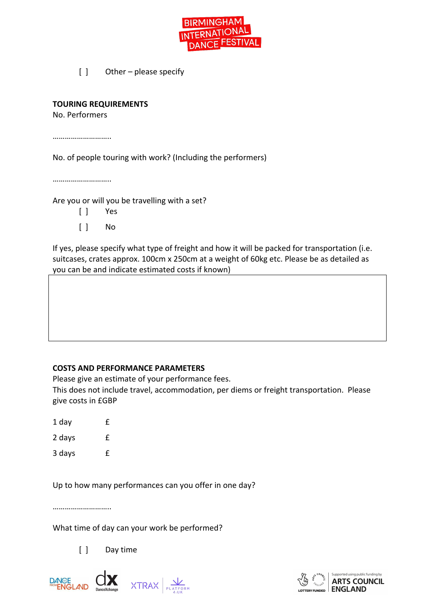

[ ] Other – please specify

### **TOURING REQUIREMENTS**

No. Performers

…………………………

No. of people touring with work? (Including the performers)

…………………………

Are you or will you be travelling with a set?

- [ ] Yes
- [ ] No

If yes, please specify what type of freight and how it will be packed for transportation (i.e. suitcases, crates approx. 100cm x 250cm at a weight of 60kg etc. Please be as detailed as you can be and indicate estimated costs if known)

# **COSTS AND PERFORMANCE PARAMETERS**

Please give an estimate of your performance fees.

This does not include travel, accommodation, per diems or freight transportation. Please give costs in £GBP

- 1 day f
- 2 days £

3 days £

Up to how many performances can you offer in one day?

……………………………

What time of day can your work be performed?

[ ] Day time



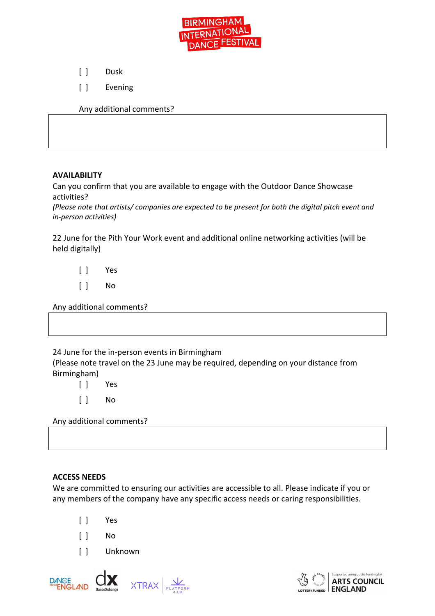

[ ] Dusk

[ ] Evening

Any additional comments?

# **AVAILABILITY**

Can you confirm that you are available to engage with the Outdoor Dance Showcase activities?

*(Please note that artists/ companies are expected to be present for both the digital pitch event and in-person activities)*

22 June for the Pith Your Work event and additional online networking activities (will be held digitally)

[ ] Yes

[ ] No

Any additional comments?

24 June for the in-person events in Birmingham

(Please note travel on the 23 June may be required, depending on your distance from Birmingham)

[ ] Yes

[ ] No

Any additional comments?

# **ACCESS NEEDS**

We are committed to ensuring our activities are accessible to all. Please indicate if you or any members of the company have any specific access needs or caring responsibilities.

- [ ] Yes
- [ ] No
- [ ] Unknown